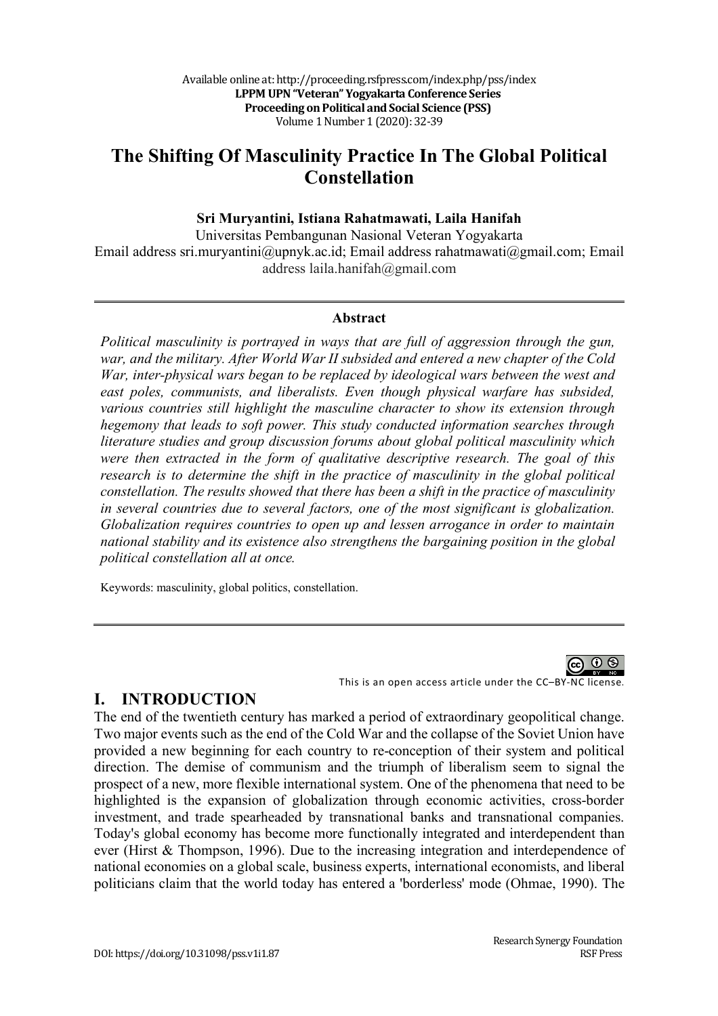# **The Shifting Of Masculinity Practice In The Global Political Constellation**

#### **Sri Muryantini, Istiana Rahatmawati, Laila Hanifah**

Universitas Pembangunan Nasional Veteran Yogyakarta Email address sri.muryantini@upnyk.ac.id; Email address rahatmawati@gmail.com; Email address laila.hanifah@gmail.com

#### **Abstract**

*Political masculinity is portrayed in ways that are full of aggression through the gun, war, and the military. After World War II subsided and entered a new chapter of the Cold War, inter-physical wars began to be replaced by ideological wars between the west and east poles, communists, and liberalists. Even though physical warfare has subsided, various countries still highlight the masculine character to show its extension through hegemony that leads to soft power. This study conducted information searches through literature studies and group discussion forums about global political masculinity which were then extracted in the form of qualitative descriptive research. The goal of this research is to determine the shift in the practice of masculinity in the global political constellation. The results showed that there has been a shift in the practice of masculinity in several countries due to several factors, one of the most significant is globalization. Globalization requires countries to open up and lessen arrogance in order to maintain national stability and its existence also strengthens the bargaining position in the global political constellation all at once.*

Keywords: masculinity, global politics, constellation.



This is an open access article under the CC–BY-NC license.

# **I. INTRODUCTION**

The end of the twentieth century has marked a period of extraordinary geopolitical change. Two major events such as the end of the Cold War and the collapse of the Soviet Union have provided a new beginning for each country to re-conception of their system and political direction. The demise of communism and the triumph of liberalism seem to signal the prospect of a new, more flexible international system. One of the phenomena that need to be highlighted is the expansion of globalization through economic activities, cross-border investment, and trade spearheaded by transnational banks and transnational companies. Today's global economy has become more functionally integrated and interdependent than ever (Hirst & Thompson, 1996). Due to the increasing integration and interdependence of national economies on a global scale, business experts, international economists, and liberal politicians claim that the world today has entered a 'borderless' mode (Ohmae, 1990). The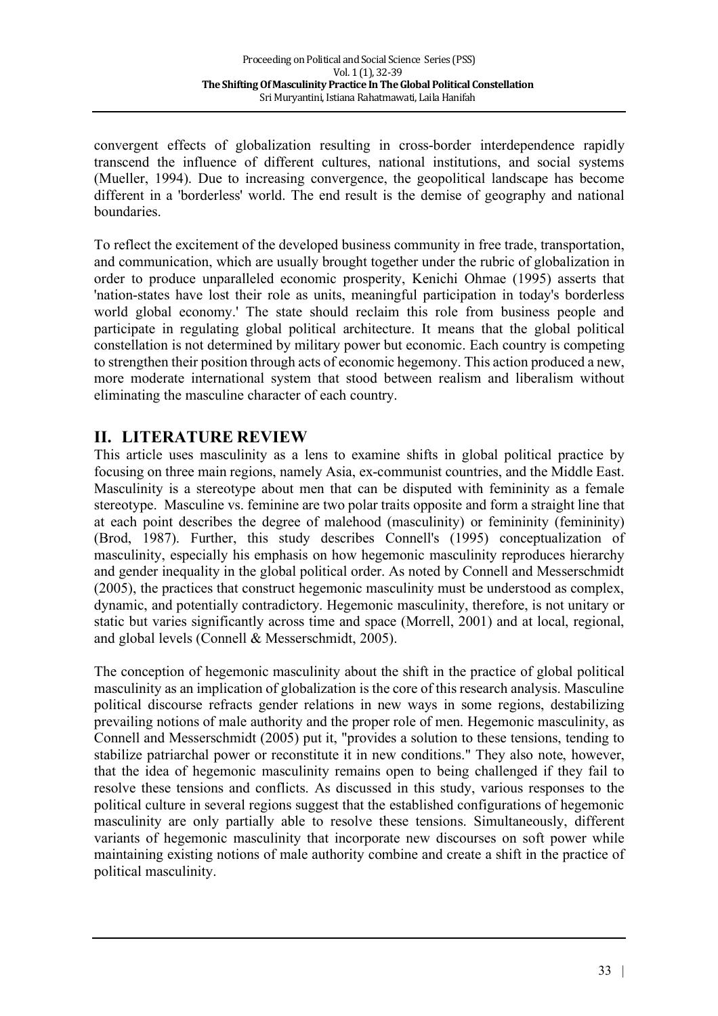convergent effects of globalization resulting in cross-border interdependence rapidly transcend the influence of different cultures, national institutions, and social systems (Mueller, 1994). Due to increasing convergence, the geopolitical landscape has become different in a 'borderless' world. The end result is the demise of geography and national boundaries.

To reflect the excitement of the developed business community in free trade, transportation, and communication, which are usually brought together under the rubric of globalization in order to produce unparalleled economic prosperity, Kenichi Ohmae (1995) asserts that 'nation-states have lost their role as units, meaningful participation in today's borderless world global economy.' The state should reclaim this role from business people and participate in regulating global political architecture. It means that the global political constellation is not determined by military power but economic. Each country is competing to strengthen their position through acts of economic hegemony. This action produced a new, more moderate international system that stood between realism and liberalism without eliminating the masculine character of each country.

# **II. LITERATURE REVIEW**

This article uses masculinity as a lens to examine shifts in global political practice by focusing on three main regions, namely Asia, ex-communist countries, and the Middle East. Masculinity is a stereotype about men that can be disputed with femininity as a female stereotype. Masculine vs. feminine are two polar traits opposite and form a straight line that at each point describes the degree of malehood (masculinity) or femininity (femininity) (Brod, 1987). Further, this study describes Connell's (1995) conceptualization of masculinity, especially his emphasis on how hegemonic masculinity reproduces hierarchy and gender inequality in the global political order. As noted by Connell and Messerschmidt (2005), the practices that construct hegemonic masculinity must be understood as complex, dynamic, and potentially contradictory. Hegemonic masculinity, therefore, is not unitary or static but varies significantly across time and space (Morrell, 2001) and at local, regional, and global levels (Connell & Messerschmidt, 2005).

The conception of hegemonic masculinity about the shift in the practice of global political masculinity as an implication of globalization is the core of this research analysis. Masculine political discourse refracts gender relations in new ways in some regions, destabilizing prevailing notions of male authority and the proper role of men. Hegemonic masculinity, as Connell and Messerschmidt (2005) put it, "provides a solution to these tensions, tending to stabilize patriarchal power or reconstitute it in new conditions." They also note, however, that the idea of hegemonic masculinity remains open to being challenged if they fail to resolve these tensions and conflicts. As discussed in this study, various responses to the political culture in several regions suggest that the established configurations of hegemonic masculinity are only partially able to resolve these tensions. Simultaneously, different variants of hegemonic masculinity that incorporate new discourses on soft power while maintaining existing notions of male authority combine and create a shift in the practice of political masculinity.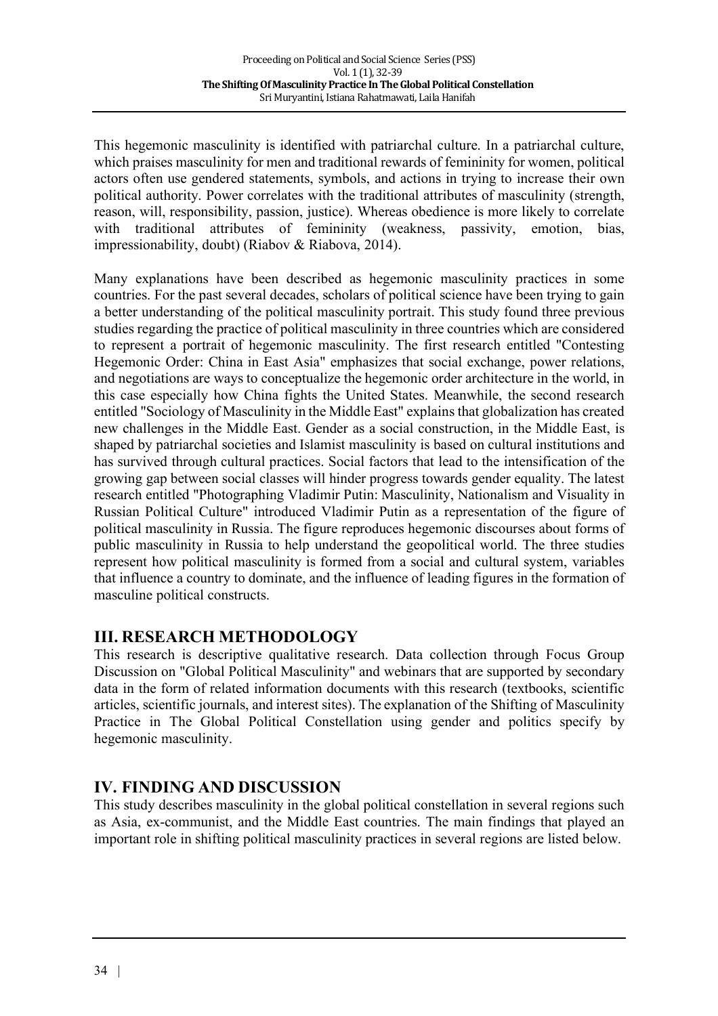This hegemonic masculinity is identified with patriarchal culture. In a patriarchal culture, which praises masculinity for men and traditional rewards of femininity for women, political actors often use gendered statements, symbols, and actions in trying to increase their own political authority. Power correlates with the traditional attributes of masculinity (strength, reason, will, responsibility, passion, justice). Whereas obedience is more likely to correlate with traditional attributes of femininity (weakness, passivity, emotion, bias, impressionability, doubt) (Riabov & Riabova, 2014).

Many explanations have been described as hegemonic masculinity practices in some countries. For the past several decades, scholars of political science have been trying to gain a better understanding of the political masculinity portrait. This study found three previous studies regarding the practice of political masculinity in three countries which are considered to represent a portrait of hegemonic masculinity. The first research entitled "Contesting Hegemonic Order: China in East Asia" emphasizes that social exchange, power relations, and negotiations are ways to conceptualize the hegemonic order architecture in the world, in this case especially how China fights the United States. Meanwhile, the second research entitled "Sociology of Masculinity in the Middle East" explains that globalization has created new challenges in the Middle East. Gender as a social construction, in the Middle East, is shaped by patriarchal societies and Islamist masculinity is based on cultural institutions and has survived through cultural practices. Social factors that lead to the intensification of the growing gap between social classes will hinder progress towards gender equality. The latest research entitled "Photographing Vladimir Putin: Masculinity, Nationalism and Visuality in Russian Political Culture" introduced Vladimir Putin as a representation of the figure of political masculinity in Russia. The figure reproduces hegemonic discourses about forms of public masculinity in Russia to help understand the geopolitical world. The three studies represent how political masculinity is formed from a social and cultural system, variables that influence a country to dominate, and the influence of leading figures in the formation of masculine political constructs.

# **III. RESEARCH METHODOLOGY**

This research is descriptive qualitative research. Data collection through Focus Group Discussion on "Global Political Masculinity" and webinars that are supported by secondary data in the form of related information documents with this research (textbooks, scientific articles, scientific journals, and interest sites). The explanation of the Shifting of Masculinity Practice in The Global Political Constellation using gender and politics specify by hegemonic masculinity.

# **IV. FINDING AND DISCUSSION**

This study describes masculinity in the global political constellation in several regions such as Asia, ex-communist, and the Middle East countries. The main findings that played an important role in shifting political masculinity practices in several regions are listed below.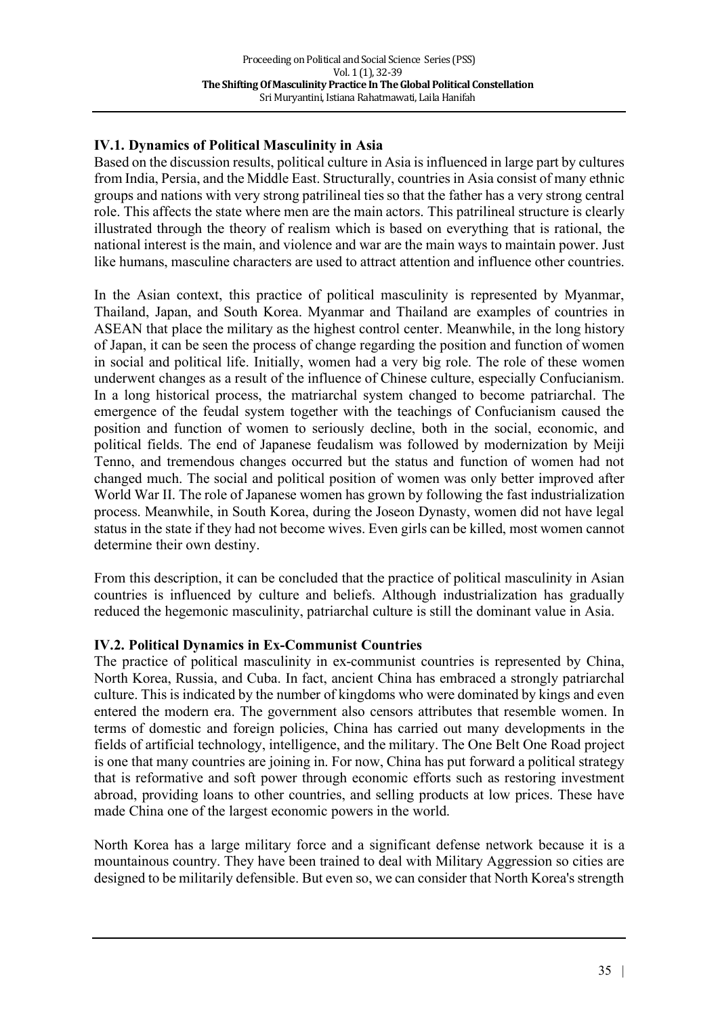### **IV.1. Dynamics of Political Masculinity in Asia**

Based on the discussion results, political culture in Asia is influenced in large part by cultures from India, Persia, and the Middle East. Structurally, countries in Asia consist of many ethnic groups and nations with very strong patrilineal ties so that the father has a very strong central role. This affects the state where men are the main actors. This patrilineal structure is clearly illustrated through the theory of realism which is based on everything that is rational, the national interest is the main, and violence and war are the main ways to maintain power. Just like humans, masculine characters are used to attract attention and influence other countries.

In the Asian context, this practice of political masculinity is represented by Myanmar, Thailand, Japan, and South Korea. Myanmar and Thailand are examples of countries in ASEAN that place the military as the highest control center. Meanwhile, in the long history of Japan, it can be seen the process of change regarding the position and function of women in social and political life. Initially, women had a very big role. The role of these women underwent changes as a result of the influence of Chinese culture, especially Confucianism. In a long historical process, the matriarchal system changed to become patriarchal. The emergence of the feudal system together with the teachings of Confucianism caused the position and function of women to seriously decline, both in the social, economic, and political fields. The end of Japanese feudalism was followed by modernization by Meiji Tenno, and tremendous changes occurred but the status and function of women had not changed much. The social and political position of women was only better improved after World War II. The role of Japanese women has grown by following the fast industrialization process. Meanwhile, in South Korea, during the Joseon Dynasty, women did not have legal status in the state if they had not become wives. Even girls can be killed, most women cannot determine their own destiny.

From this description, it can be concluded that the practice of political masculinity in Asian countries is influenced by culture and beliefs. Although industrialization has gradually reduced the hegemonic masculinity, patriarchal culture is still the dominant value in Asia.

#### **IV.2. Political Dynamics in Ex-Communist Countries**

The practice of political masculinity in ex-communist countries is represented by China, North Korea, Russia, and Cuba. In fact, ancient China has embraced a strongly patriarchal culture. This is indicated by the number of kingdoms who were dominated by kings and even entered the modern era. The government also censors attributes that resemble women. In terms of domestic and foreign policies, China has carried out many developments in the fields of artificial technology, intelligence, and the military. The One Belt One Road project is one that many countries are joining in. For now, China has put forward a political strategy that is reformative and soft power through economic efforts such as restoring investment abroad, providing loans to other countries, and selling products at low prices. These have made China one of the largest economic powers in the world.

North Korea has a large military force and a significant defense network because it is a mountainous country. They have been trained to deal with Military Aggression so cities are designed to be militarily defensible. But even so, we can consider that North Korea's strength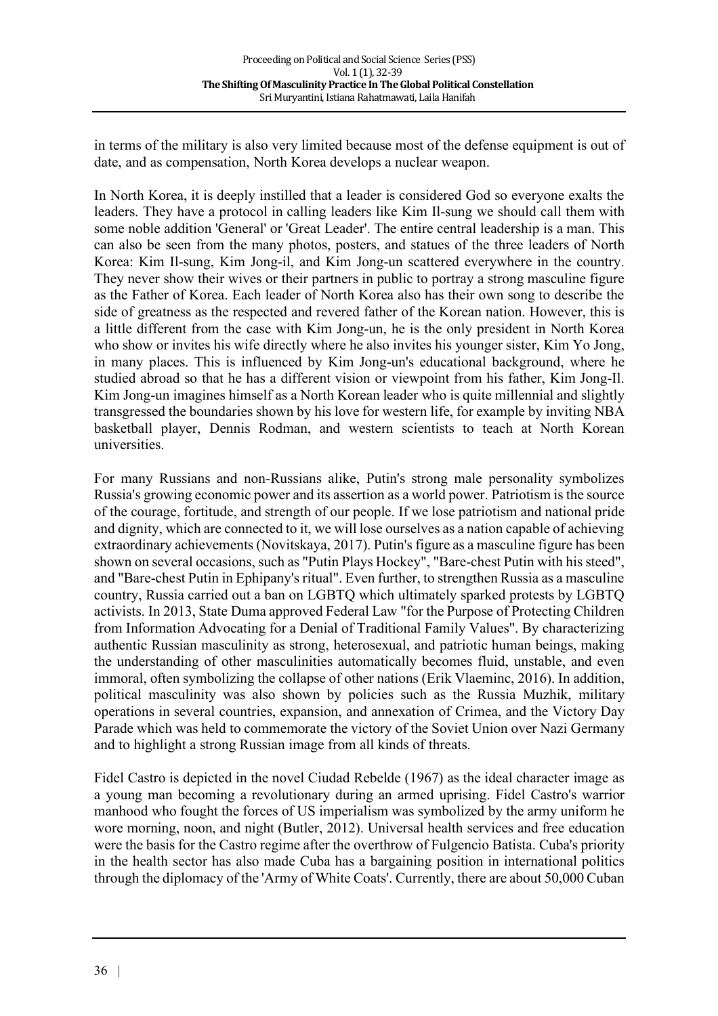in terms of the military is also very limited because most of the defense equipment is out of date, and as compensation, North Korea develops a nuclear weapon.

In North Korea, it is deeply instilled that a leader is considered God so everyone exalts the leaders. They have a protocol in calling leaders like Kim Il-sung we should call them with some noble addition 'General' or 'Great Leader'. The entire central leadership is a man. This can also be seen from the many photos, posters, and statues of the three leaders of North Korea: Kim Il-sung, Kim Jong-il, and Kim Jong-un scattered everywhere in the country. They never show their wives or their partners in public to portray a strong masculine figure as the Father of Korea. Each leader of North Korea also has their own song to describe the side of greatness as the respected and revered father of the Korean nation. However, this is a little different from the case with Kim Jong-un, he is the only president in North Korea who show or invites his wife directly where he also invites his younger sister, Kim Yo Jong, in many places. This is influenced by Kim Jong-un's educational background, where he studied abroad so that he has a different vision or viewpoint from his father, Kim Jong-Il. Kim Jong-un imagines himself as a North Korean leader who is quite millennial and slightly transgressed the boundaries shown by his love for western life, for example by inviting NBA basketball player, Dennis Rodman, and western scientists to teach at North Korean universities.

For many Russians and non-Russians alike, Putin's strong male personality symbolizes Russia's growing economic power and its assertion as a world power. Patriotism is the source of the courage, fortitude, and strength of our people. If we lose patriotism and national pride and dignity, which are connected to it, we will lose ourselves as a nation capable of achieving extraordinary achievements (Novitskaya, 2017). Putin's figure as a masculine figure has been shown on several occasions, such as "Putin Plays Hockey", "Bare-chest Putin with his steed", and "Bare-chest Putin in Ephipany's ritual". Even further, to strengthen Russia as a masculine country, Russia carried out a ban on LGBTQ which ultimately sparked protests by LGBTQ activists. In 2013, State Duma approved Federal Law "for the Purpose of Protecting Children from Information Advocating for a Denial of Traditional Family Values". By characterizing authentic Russian masculinity as strong, heterosexual, and patriotic human beings, making the understanding of other masculinities automatically becomes fluid, unstable, and even immoral, often symbolizing the collapse of other nations (Erik Vlaeminc, 2016). In addition, political masculinity was also shown by policies such as the Russia Muzhik, military operations in several countries, expansion, and annexation of Crimea, and the Victory Day Parade which was held to commemorate the victory of the Soviet Union over Nazi Germany and to highlight a strong Russian image from all kinds of threats.

Fidel Castro is depicted in the novel Ciudad Rebelde (1967) as the ideal character image as a young man becoming a revolutionary during an armed uprising. Fidel Castro's warrior manhood who fought the forces of US imperialism was symbolized by the army uniform he wore morning, noon, and night (Butler, 2012). Universal health services and free education were the basis for the Castro regime after the overthrow of Fulgencio Batista. Cuba's priority in the health sector has also made Cuba has a bargaining position in international politics through the diplomacy of the 'Army of White Coats'. Currently, there are about 50,000 Cuban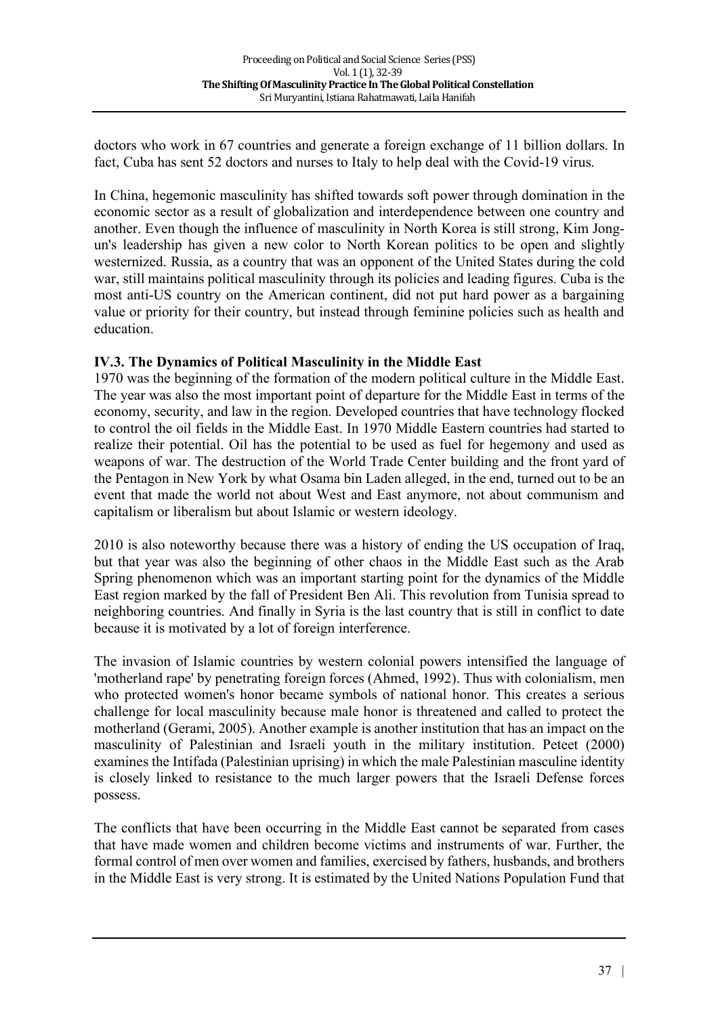doctors who work in 67 countries and generate a foreign exchange of 11 billion dollars. In fact, Cuba has sent 52 doctors and nurses to Italy to help deal with the Covid-19 virus.

In China, hegemonic masculinity has shifted towards soft power through domination in the economic sector as a result of globalization and interdependence between one country and another. Even though the influence of masculinity in North Korea is still strong, Kim Jongun's leadership has given a new color to North Korean politics to be open and slightly westernized. Russia, as a country that was an opponent of the United States during the cold war, still maintains political masculinity through its policies and leading figures. Cuba is the most anti-US country on the American continent, did not put hard power as a bargaining value or priority for their country, but instead through feminine policies such as health and education.

#### **IV.3. The Dynamics of Political Masculinity in the Middle East**

1970 was the beginning of the formation of the modern political culture in the Middle East. The year was also the most important point of departure for the Middle East in terms of the economy, security, and law in the region. Developed countries that have technology flocked to control the oil fields in the Middle East. In 1970 Middle Eastern countries had started to realize their potential. Oil has the potential to be used as fuel for hegemony and used as weapons of war. The destruction of the World Trade Center building and the front yard of the Pentagon in New York by what Osama bin Laden alleged, in the end, turned out to be an event that made the world not about West and East anymore, not about communism and capitalism or liberalism but about Islamic or western ideology.

2010 is also noteworthy because there was a history of ending the US occupation of Iraq, but that year was also the beginning of other chaos in the Middle East such as the Arab Spring phenomenon which was an important starting point for the dynamics of the Middle East region marked by the fall of President Ben Ali. This revolution from Tunisia spread to neighboring countries. And finally in Syria is the last country that is still in conflict to date because it is motivated by a lot of foreign interference.

The invasion of Islamic countries by western colonial powers intensified the language of 'motherland rape' by penetrating foreign forces (Ahmed, 1992). Thus with colonialism, men who protected women's honor became symbols of national honor. This creates a serious challenge for local masculinity because male honor is threatened and called to protect the motherland (Gerami, 2005). Another example is another institution that has an impact on the masculinity of Palestinian and Israeli youth in the military institution. Peteet (2000) examines the Intifada (Palestinian uprising) in which the male Palestinian masculine identity is closely linked to resistance to the much larger powers that the Israeli Defense forces possess.

The conflicts that have been occurring in the Middle East cannot be separated from cases that have made women and children become victims and instruments of war. Further, the formal control of men over women and families, exercised by fathers, husbands, and brothers in the Middle East is very strong. It is estimated by the United Nations Population Fund that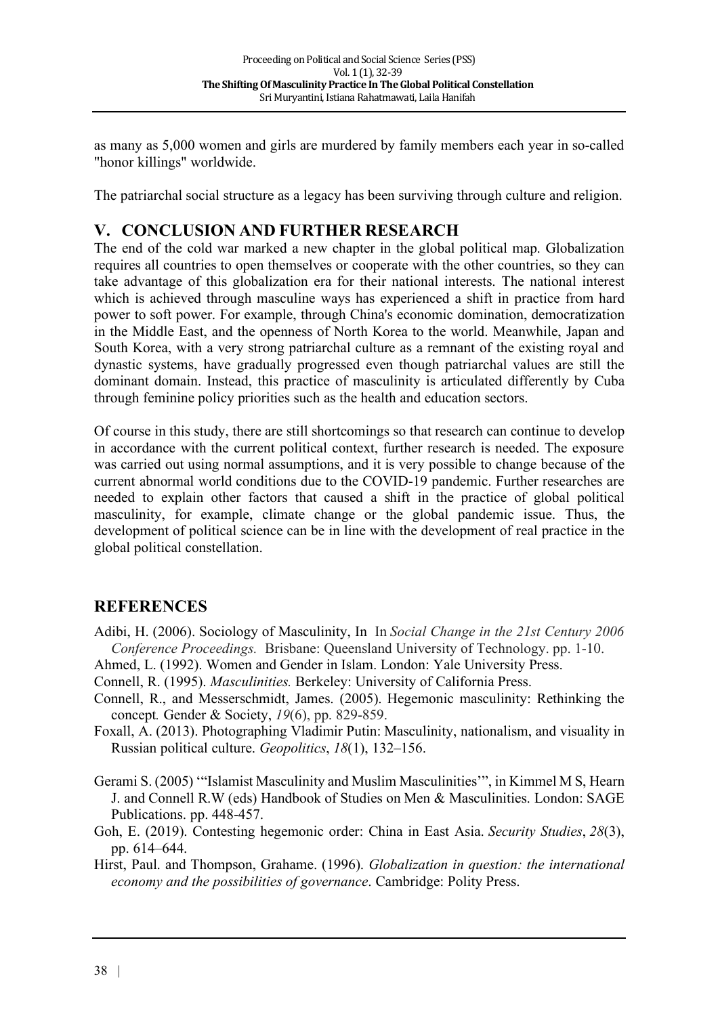as many as 5,000 women and girls are murdered by family members each year in so-called "honor killings" worldwide.

The patriarchal social structure as a legacy has been surviving through culture and religion.

# **V. CONCLUSION AND FURTHER RESEARCH**

The end of the cold war marked a new chapter in the global political map. Globalization requires all countries to open themselves or cooperate with the other countries, so they can take advantage of this globalization era for their national interests. The national interest which is achieved through masculine ways has experienced a shift in practice from hard power to soft power. For example, through China's economic domination, democratization in the Middle East, and the openness of North Korea to the world. Meanwhile, Japan and South Korea, with a very strong patriarchal culture as a remnant of the existing royal and dynastic systems, have gradually progressed even though patriarchal values are still the dominant domain. Instead, this practice of masculinity is articulated differently by Cuba through feminine policy priorities such as the health and education sectors.

Of course in this study, there are still shortcomings so that research can continue to develop in accordance with the current political context, further research is needed. The exposure was carried out using normal assumptions, and it is very possible to change because of the current abnormal world conditions due to the COVID-19 pandemic. Further researches are needed to explain other factors that caused a shift in the practice of global political masculinity, for example, climate change or the global pandemic issue. Thus, the development of political science can be in line with the development of real practice in the global political constellation.

# **REFERENCES**

- Adibi, H. (2006). Sociology of Masculinity, In In *Social Change in the 21st Century 2006 Conference Proceedings.* Brisbane: Queensland University of Technology. pp. 1-10.
- Ahmed, L. (1992). Women and Gender in Islam. London: Yale University Press.
- Connell, R. (1995). *Masculinities.* Berkeley: University of California Press.
- Connell, R., and Messerschmidt, James. (2005). Hegemonic masculinity: Rethinking the concept*.* Gender & Society, *19*(6), pp. 829-859.
- Foxall, A. (2013). Photographing Vladimir Putin: Masculinity, nationalism, and visuality in Russian political culture. *Geopolitics*, *18*(1), 132–156.
- Gerami S. (2005) '"Islamist Masculinity and Muslim Masculinities'", in Kimmel M S, Hearn J. and Connell R.W (eds) Handbook of Studies on Men & Masculinities. London: SAGE Publications. pp. 448-457.
- Goh, E. (2019). Contesting hegemonic order: China in East Asia. *Security Studies*, *28*(3), pp. 614–644.
- Hirst, Paul. and Thompson, Grahame. (1996). *Globalization in question: the international economy and the possibilities of governance*. Cambridge: Polity Press.